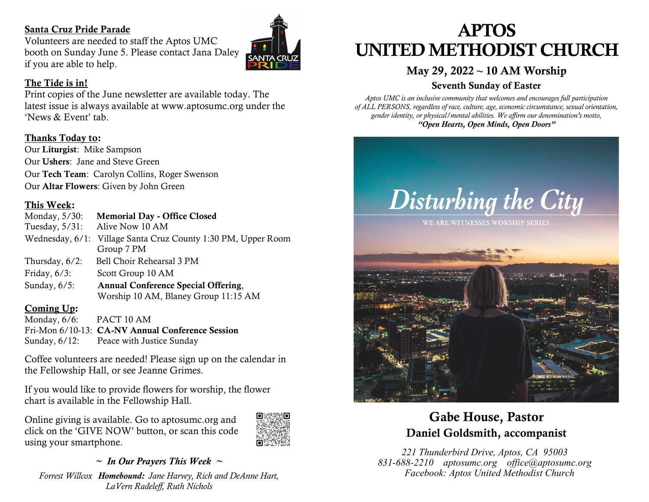### Santa Cruz Pride Parade

Volunteers are needed to staff the Aptos UMC booth on Sunday June 5. Please contact Jana Daley if you are able to help.

### The Tide is in!

Print copies of the June newsletter are available today. The latest issue is always available at www.aptosumc.org under the 'News & Event' tab.

### Thanks Today to:

Our Liturgist: Mike Sampson Our Ushers: Jane and Steve Green Our Tech Team: Carolyn Collins, Roger Swenson Our Altar Flowers: Given by John Green

### This Week:

- Monday, 5/30: Memorial Day Office Closed
- Tuesday, 5/31: Alive Now 10 AM
- Wednesday, 6/1: Village Santa Cruz County 1:30 PM, Upper Room Group 7 PM
- Thursday, 6/2: Bell Choir Rehearsal 3 PM
- Friday,  $6/3$ : Scott Group 10 AM
- Sunday, 6/5: Annual Conference Special Offering, Worship 10 AM, Blaney Group 11:15 AM

### Coming Up:

Monday, 6/6: PACT 10 AM Fri-Mon 6/10-13: CA-NV Annual Conference Session Sunday, 6/12: Peace with Justice Sunday

Coffee volunteers are needed! Please sign up on the calendar in the Fellowship Hall, or see Jeanne Grimes.

If you would like to provide flowers for worship, the flower chart is available in the Fellowship Hall.

Online giving is available. Go to aptosumc.org and click on the 'GIVE NOW' button, or scan this code using your smartphone.



### *~ In Our Prayers This Week ~*

*Forrest Willcox Homebound: Jane Harvey, Rich and DeAnne Hart, LaVern Radeleff, Ruth Nichols*

# APTOS UNITED METHODIST CHURCH

## May 29, 2022 **~** 10 AM Worship

### Seventh Sunday of Easter

*Aptos UMC is an inclusive community that welcomes and encourages full participation of ALL PERSONS, regardless of race, culture, age, economic circumstance, sexual orientation, gender identity, or physical/mental abilities. We affirm our denomination's motto, "Open Hearts, Open Minds, Open Doors"*



### Gabe House, Pastor Daniel Goldsmith, accompanist

*221 Thunderbird Drive, Aptos, CA 95003 831-688-2210 aptosumc.org office@aptosumc.org Facebook: Aptos United Methodist Church*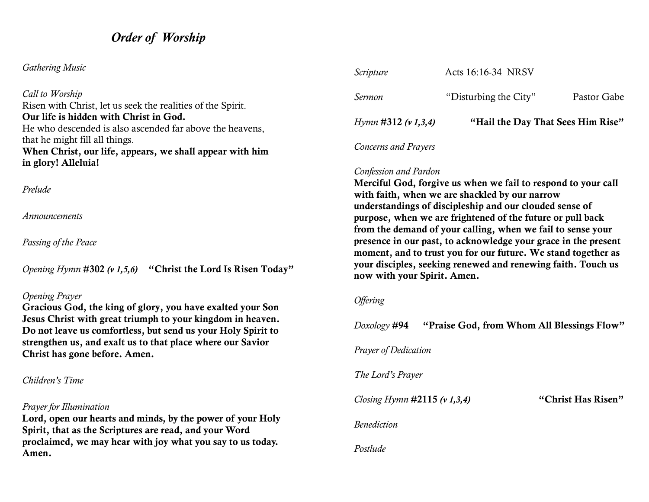### *Order of Worship*

### *Gathering Music*

*Call to Worship* Risen with Christ, let us seek the realities of the Spirit. Our life is hidden with Christ in God. He who descended is also ascended far above the heavens, that he might fill all things. When Christ, our life, appears, we shall appear with him in glory! Alleluia!

*Prelude*

*Announcements*

*Passing of the Peace*

*Opening Hymn* #302 *(v 1,5,6)* "Christ the Lord Is Risen Today"

#### *Opening Prayer*

Gracious God, the king of glory, you have exalted your Son Jesus Christ with great triumph to your kingdom in heaven. Do not leave us comfortless, but send us your Holy Spirit to strengthen us, and exalt us to that place where our Savior Christ has gone before. Amen.

#### *Children's Time*

#### *Prayer for Illumination*

Lord, open our hearts and minds, by the power of your Holy Spirit, that as the Scriptures are read, and your Word proclaimed, we may hear with joy what you say to us today. Amen.

| Scripture                       | Acts 16:16-34 NRSV                |             |
|---------------------------------|-----------------------------------|-------------|
| Sermon                          | "Disturbing the City"             | Pastor Gabe |
| <i>Hymn</i> #312 ( $\nu$ 1,3,4) | "Hail the Day That Sees Him Rise" |             |
| Concerns and Prayers            |                                   |             |

# *Confession and Pardon*

### Merciful God, forgive us when we fail to respond to your call with faith, when we are shackled by our narrow understandings of discipleship and our clouded sense of purpose, when we are frightened of the future or pull back from the demand of your calling, when we fail to sense your presence in our past, to acknowledge your grace in the present

moment, and to trust you for our future. We stand together as your disciples, seeking renewed and renewing faith. Touch us now with your Spirit. Amen.

### *Offering*

| Doxology # <b>94</b>            |  | "Praise God, from Whom All Blessings Flow" |
|---------------------------------|--|--------------------------------------------|
| Prayer of Dedication            |  |                                            |
| The Lord's Prayer               |  |                                            |
| Closing Hymn $\#2115$ (v 1,3,4) |  | "Christ Has Risen"                         |
| <b>Benediction</b>              |  |                                            |
| Postlude                        |  |                                            |